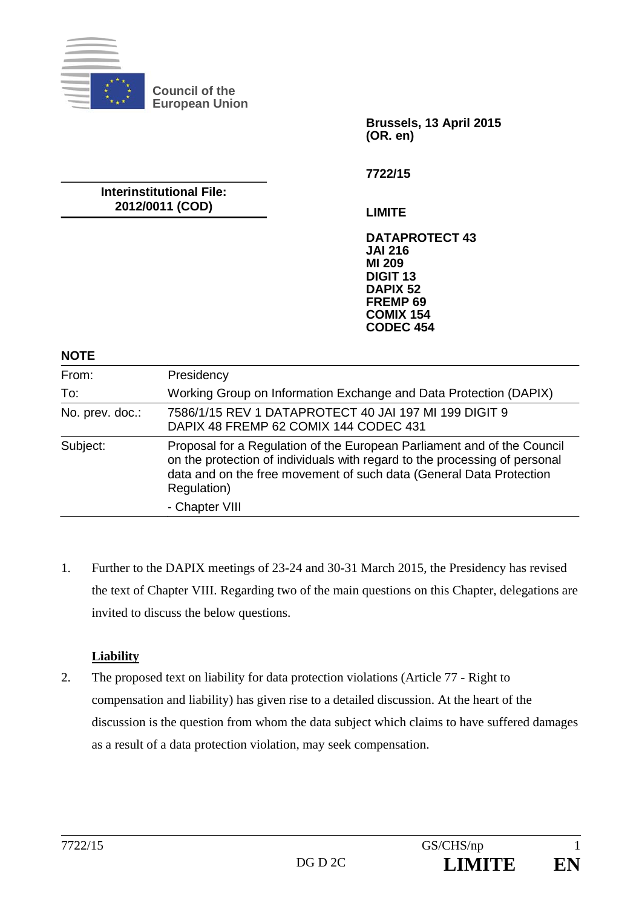

**Brussels, 13 April 2015 (OR. en)** 

**Interinstitutional File: 2012/0011 (COD)** 

**7722/15** 

**LIMITE** 

**DATAPROTECT 43 JAI 216 MI 209 DIGIT 13 DAPIX 52 FREMP 69 COMIX 154 CODEC 454**

#### **NOTE**

| From:           | Presidency                                                                                                                                                                                                                                  |
|-----------------|---------------------------------------------------------------------------------------------------------------------------------------------------------------------------------------------------------------------------------------------|
| To:             | Working Group on Information Exchange and Data Protection (DAPIX)                                                                                                                                                                           |
| No. prev. doc.: | 7586/1/15 REV 1 DATAPROTECT 40 JAI 197 MI 199 DIGIT 9<br>DAPIX 48 FREMP 62 COMIX 144 CODEC 431                                                                                                                                              |
| Subject:        | Proposal for a Regulation of the European Parliament and of the Council<br>on the protection of individuals with regard to the processing of personal<br>data and on the free movement of such data (General Data Protection<br>Regulation) |
|                 | - Chapter VIII                                                                                                                                                                                                                              |

1. Further to the DAPIX meetings of 23-24 and 30-31 March 2015, the Presidency has revised the text of Chapter VIII. Regarding two of the main questions on this Chapter, delegations are invited to discuss the below questions.

#### **Liability**

2. The proposed text on liability for data protection violations (Article 77 - Right to compensation and liability) has given rise to a detailed discussion. At the heart of the discussion is the question from whom the data subject which claims to have suffered damages as a result of a data protection violation, may seek compensation.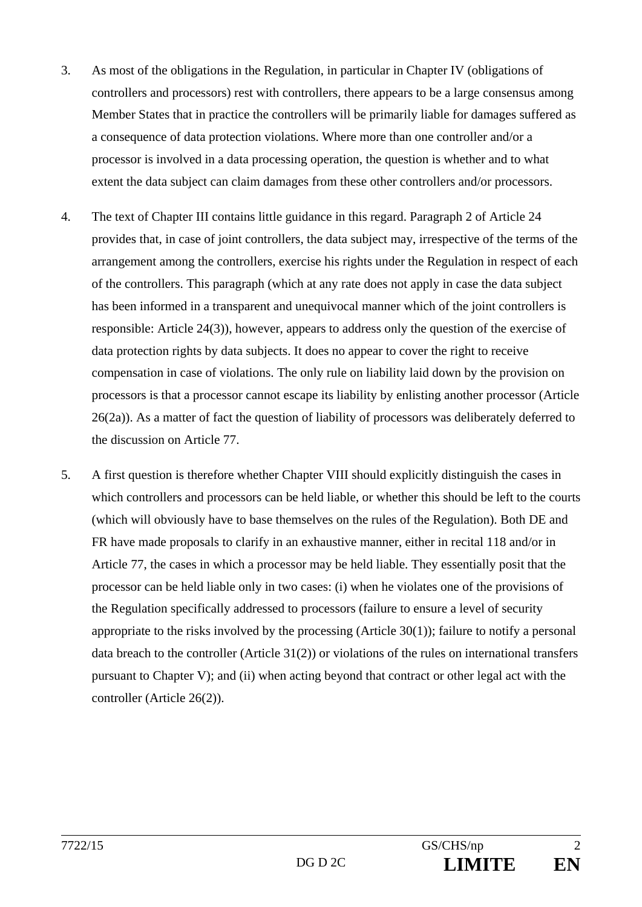- 3. As most of the obligations in the Regulation, in particular in Chapter IV (obligations of controllers and processors) rest with controllers, there appears to be a large consensus among Member States that in practice the controllers will be primarily liable for damages suffered as a consequence of data protection violations. Where more than one controller and/or a processor is involved in a data processing operation, the question is whether and to what extent the data subject can claim damages from these other controllers and/or processors.
- 4. The text of Chapter III contains little guidance in this regard. Paragraph 2 of Article 24 provides that, in case of joint controllers, the data subject may, irrespective of the terms of the arrangement among the controllers, exercise his rights under the Regulation in respect of each of the controllers. This paragraph (which at any rate does not apply in case the data subject has been informed in a transparent and unequivocal manner which of the joint controllers is responsible: Article 24(3)), however, appears to address only the question of the exercise of data protection rights by data subjects. It does no appear to cover the right to receive compensation in case of violations. The only rule on liability laid down by the provision on processors is that a processor cannot escape its liability by enlisting another processor (Article 26(2a)). As a matter of fact the question of liability of processors was deliberately deferred to the discussion on Article 77.
- 5. A first question is therefore whether Chapter VIII should explicitly distinguish the cases in which controllers and processors can be held liable, or whether this should be left to the courts (which will obviously have to base themselves on the rules of the Regulation). Both DE and FR have made proposals to clarify in an exhaustive manner, either in recital 118 and/or in Article 77, the cases in which a processor may be held liable. They essentially posit that the processor can be held liable only in two cases: (i) when he violates one of the provisions of the Regulation specifically addressed to processors (failure to ensure a level of security appropriate to the risks involved by the processing (Article 30(1)); failure to notify a personal data breach to the controller (Article 31(2)) or violations of the rules on international transfers pursuant to Chapter V); and (ii) when acting beyond that contract or other legal act with the controller (Article 26(2)).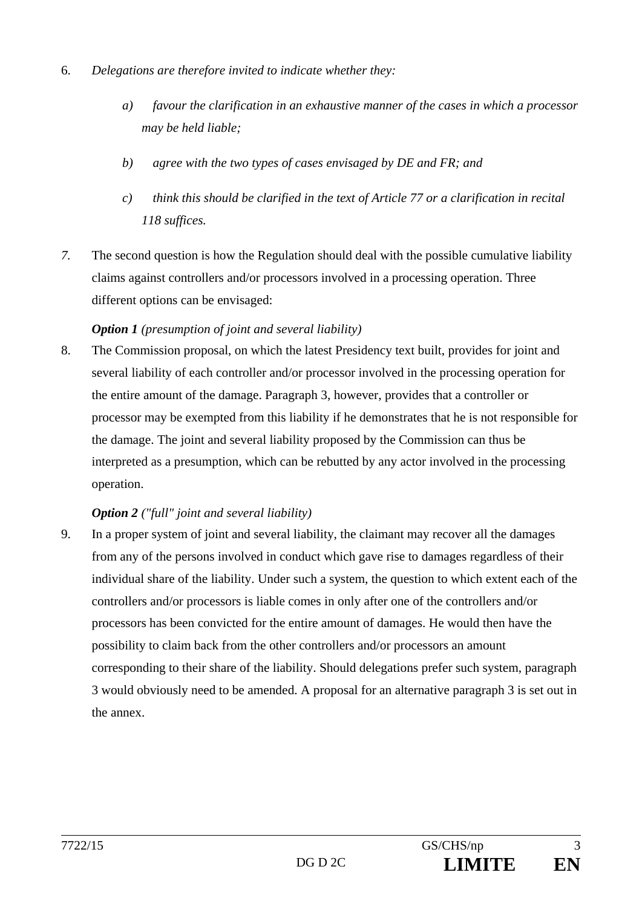- 6. *Delegations are therefore invited to indicate whether they:*
	- *a) favour the clarification in an exhaustive manner of the cases in which a processor may be held liable;*
	- *b) agree with the two types of cases envisaged by DE and FR; and*
	- *c) think this should be clarified in the text of Article 77 or a clarification in recital 118 suffices.*
- *7.* The second question is how the Regulation should deal with the possible cumulative liability claims against controllers and/or processors involved in a processing operation. Three different options can be envisaged:

### *Option 1 (presumption of joint and several liability)*

8. The Commission proposal, on which the latest Presidency text built, provides for joint and several liability of each controller and/or processor involved in the processing operation for the entire amount of the damage. Paragraph 3, however, provides that a controller or processor may be exempted from this liability if he demonstrates that he is not responsible for the damage. The joint and several liability proposed by the Commission can thus be interpreted as a presumption, which can be rebutted by any actor involved in the processing operation.

### *Option 2 ("full" joint and several liability)*

9. In a proper system of joint and several liability, the claimant may recover all the damages from any of the persons involved in conduct which gave rise to damages regardless of their individual share of the liability. Under such a system, the question to which extent each of the controllers and/or processors is liable comes in only after one of the controllers and/or processors has been convicted for the entire amount of damages. He would then have the possibility to claim back from the other controllers and/or processors an amount corresponding to their share of the liability. Should delegations prefer such system, paragraph 3 would obviously need to be amended. A proposal for an alternative paragraph 3 is set out in the annex.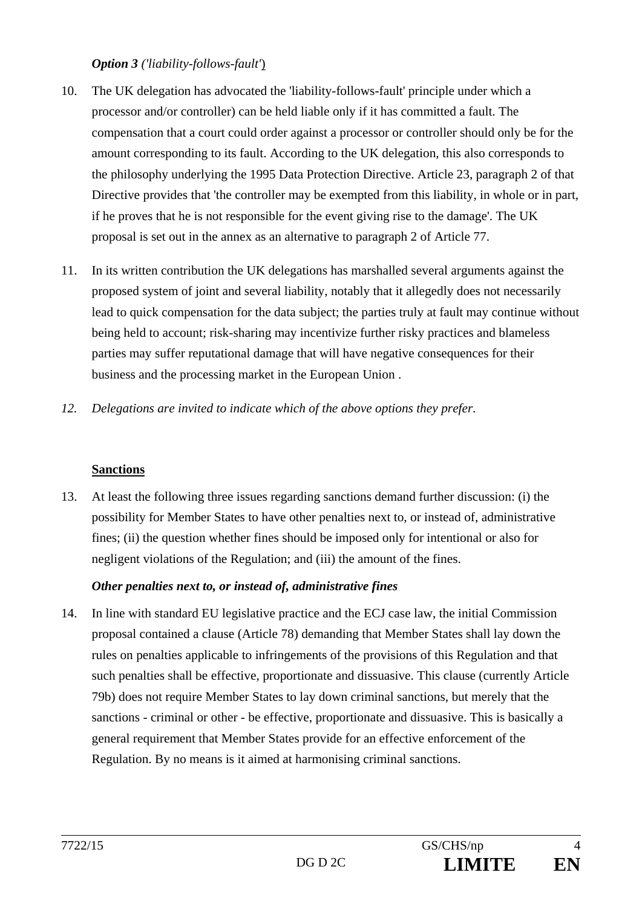### *Option 3 ('liability-follows-fault'*)

- 10. The UK delegation has advocated the 'liability-follows-fault' principle under which a processor and/or controller) can be held liable only if it has committed a fault. The compensation that a court could order against a processor or controller should only be for the amount corresponding to its fault. According to the UK delegation, this also corresponds to the philosophy underlying the 1995 Data Protection Directive. Article 23, paragraph 2 of that Directive provides that 'the controller may be exempted from this liability, in whole or in part, if he proves that he is not responsible for the event giving rise to the damage'. The UK proposal is set out in the annex as an alternative to paragraph 2 of Article 77.
- 11. In its written contribution the UK delegations has marshalled several arguments against the proposed system of joint and several liability, notably that it allegedly does not necessarily lead to quick compensation for the data subject; the parties truly at fault may continue without being held to account; risk-sharing may incentivize further risky practices and blameless parties may suffer reputational damage that will have negative consequences for their business and the processing market in the European Union .
- *12. Delegations are invited to indicate which of the above options they prefer.*

### **Sanctions**

13. At least the following three issues regarding sanctions demand further discussion: (i) the possibility for Member States to have other penalties next to, or instead of, administrative fines; (ii) the question whether fines should be imposed only for intentional or also for negligent violations of the Regulation; and (iii) the amount of the fines.

### *Other penalties next to, or instead of, administrative fines*

14. In line with standard EU legislative practice and the ECJ case law, the initial Commission proposal contained a clause (Article 78) demanding that Member States shall lay down the rules on penalties applicable to infringements of the provisions of this Regulation and that such penalties shall be effective, proportionate and dissuasive. This clause (currently Article 79b) does not require Member States to lay down criminal sanctions, but merely that the sanctions - criminal or other - be effective, proportionate and dissuasive. This is basically a general requirement that Member States provide for an effective enforcement of the Regulation. By no means is it aimed at harmonising criminal sanctions.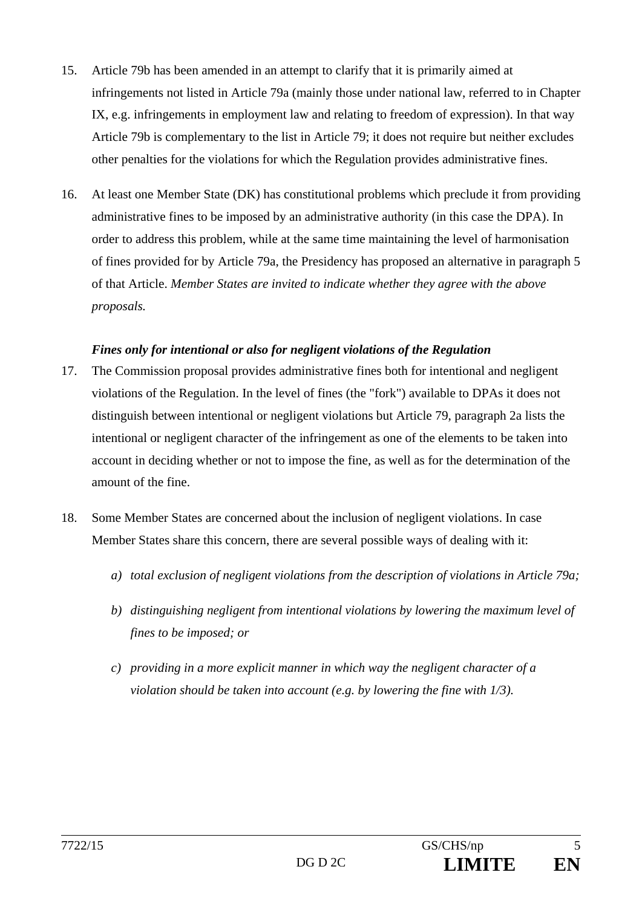- 15. Article 79b has been amended in an attempt to clarify that it is primarily aimed at infringements not listed in Article 79a (mainly those under national law, referred to in Chapter IX, e.g. infringements in employment law and relating to freedom of expression). In that way Article 79b is complementary to the list in Article 79; it does not require but neither excludes other penalties for the violations for which the Regulation provides administrative fines.
- 16. At least one Member State (DK) has constitutional problems which preclude it from providing administrative fines to be imposed by an administrative authority (in this case the DPA). In order to address this problem, while at the same time maintaining the level of harmonisation of fines provided for by Article 79a, the Presidency has proposed an alternative in paragraph 5 of that Article. *Member States are invited to indicate whether they agree with the above proposals.*

### *Fines only for intentional or also for negligent violations of the Regulation*

- 17. The Commission proposal provides administrative fines both for intentional and negligent violations of the Regulation. In the level of fines (the "fork") available to DPAs it does not distinguish between intentional or negligent violations but Article 79, paragraph 2a lists the intentional or negligent character of the infringement as one of the elements to be taken into account in deciding whether or not to impose the fine, as well as for the determination of the amount of the fine.
- 18. Some Member States are concerned about the inclusion of negligent violations. In case Member States share this concern, there are several possible ways of dealing with it:
	- *a) total exclusion of negligent violations from the description of violations in Article 79a;*
	- *b) distinguishing negligent from intentional violations by lowering the maximum level of fines to be imposed; or*
	- *c) providing in a more explicit manner in which way the negligent character of a violation should be taken into account (e.g. by lowering the fine with 1/3).*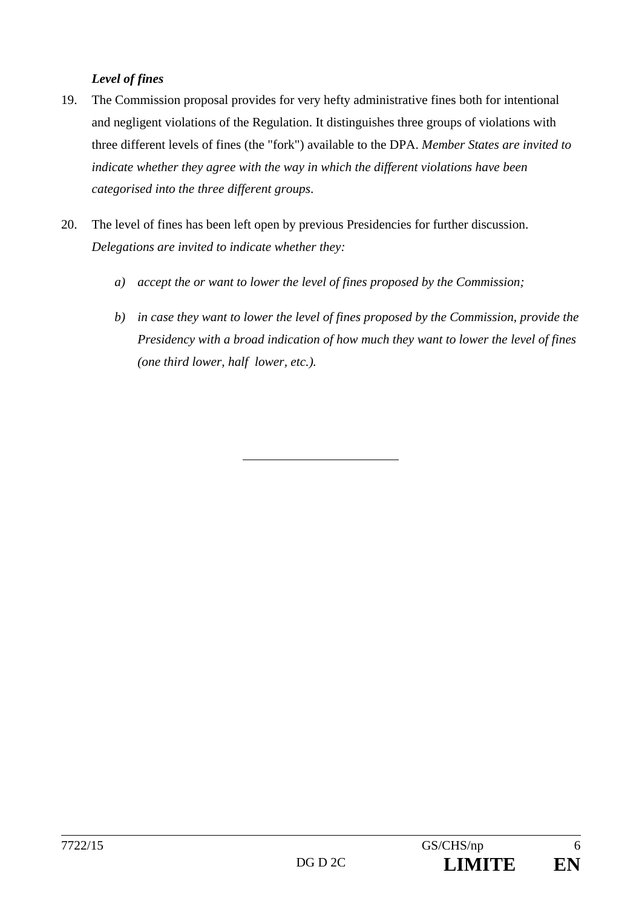### *Level of fines*

- 19. The Commission proposal provides for very hefty administrative fines both for intentional and negligent violations of the Regulation. It distinguishes three groups of violations with three different levels of fines (the "fork") available to the DPA. *Member States are invited to indicate whether they agree with the way in which the different violations have been categorised into the three different groups*.
- 20. The level of fines has been left open by previous Presidencies for further discussion. *Delegations are invited to indicate whether they:*
	- *a) accept the or want to lower the level of fines proposed by the Commission;*
	- *b) in case they want to lower the level of fines proposed by the Commission, provide the Presidency with a broad indication of how much they want to lower the level of fines (one third lower, half lower, etc.).*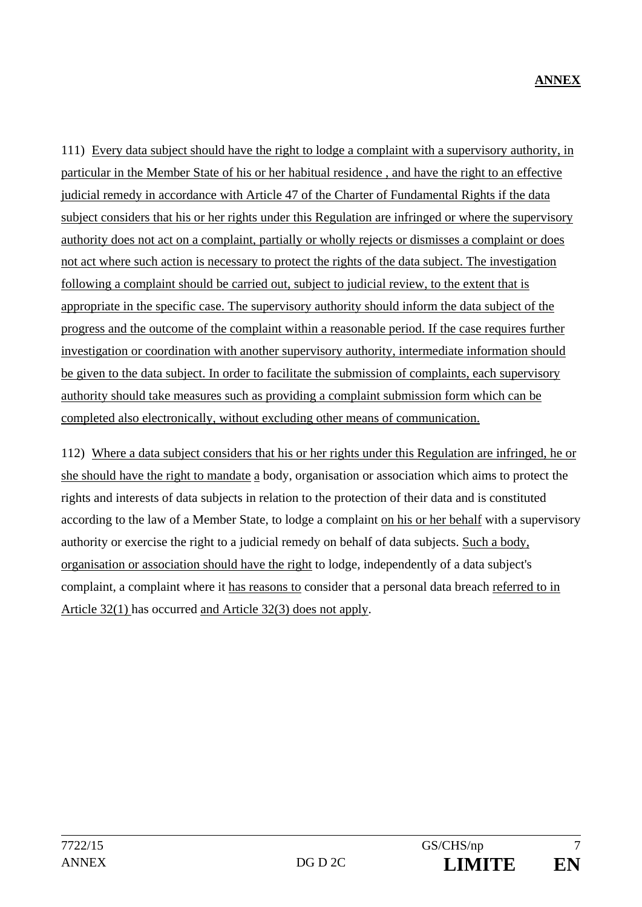111) Every data subject should have the right to lodge a complaint with a supervisory authority, in particular in the Member State of his or her habitual residence , and have the right to an effective judicial remedy in accordance with Article 47 of the Charter of Fundamental Rights if the data subject considers that his or her rights under this Regulation are infringed or where the supervisory authority does not act on a complaint, partially or wholly rejects or dismisses a complaint or does not act where such action is necessary to protect the rights of the data subject. The investigation following a complaint should be carried out, subject to judicial review, to the extent that is appropriate in the specific case. The supervisory authority should inform the data subject of the progress and the outcome of the complaint within a reasonable period. If the case requires further investigation or coordination with another supervisory authority, intermediate information should be given to the data subject. In order to facilitate the submission of complaints, each supervisory authority should take measures such as providing a complaint submission form which can be completed also electronically, without excluding other means of communication.

112) Where a data subject considers that his or her rights under this Regulation are infringed, he or she should have the right to mandate a body, organisation or association which aims to protect the rights and interests of data subjects in relation to the protection of their data and is constituted according to the law of a Member State, to lodge a complaint on his or her behalf with a supervisory authority or exercise the right to a judicial remedy on behalf of data subjects. Such a body, organisation or association should have the right to lodge, independently of a data subject's complaint, a complaint where it has reasons to consider that a personal data breach referred to in Article 32(1) has occurred and Article 32(3) does not apply.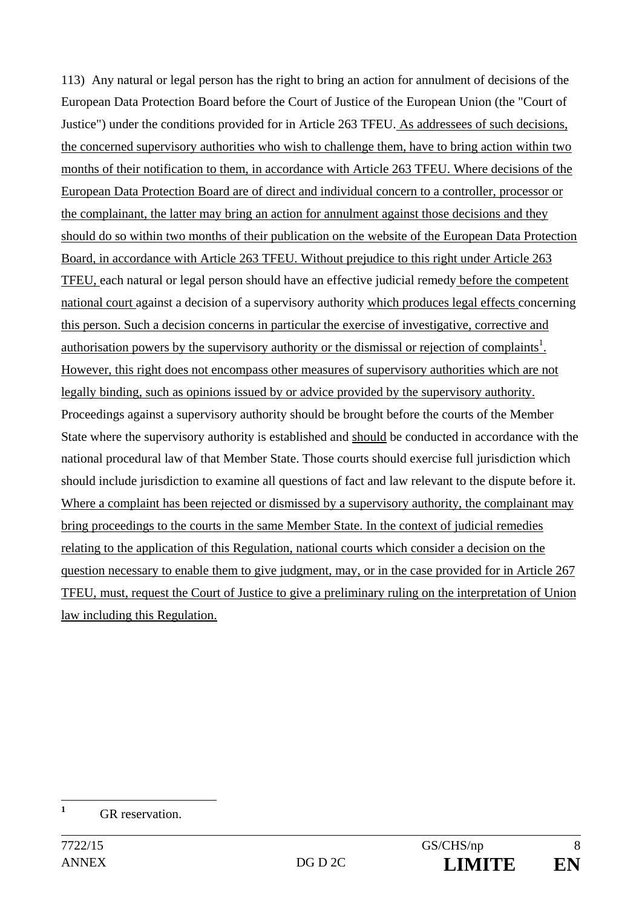113) Any natural or legal person has the right to bring an action for annulment of decisions of the European Data Protection Board before the Court of Justice of the European Union (the "Court of Justice") under the conditions provided for in Article 263 TFEU. As addressees of such decisions, the concerned supervisory authorities who wish to challenge them, have to bring action within two months of their notification to them, in accordance with Article 263 TFEU. Where decisions of the European Data Protection Board are of direct and individual concern to a controller, processor or the complainant, the latter may bring an action for annulment against those decisions and they should do so within two months of their publication on the website of the European Data Protection Board, in accordance with Article 263 TFEU. Without prejudice to this right under Article 263 TFEU, each natural or legal person should have an effective judicial remedy before the competent national court against a decision of a supervisory authority which produces legal effects concerning this person. Such a decision concerns in particular the exercise of investigative, corrective and authorisation powers by the supervisory authority or the dismissal or rejection of complaints<sup>1</sup>. However, this right does not encompass other measures of supervisory authorities which are not legally binding, such as opinions issued by or advice provided by the supervisory authority. Proceedings against a supervisory authority should be brought before the courts of the Member State where the supervisory authority is established and should be conducted in accordance with the national procedural law of that Member State. Those courts should exercise full jurisdiction which should include jurisdiction to examine all questions of fact and law relevant to the dispute before it. Where a complaint has been rejected or dismissed by a supervisory authority, the complainant may bring proceedings to the courts in the same Member State. In the context of judicial remedies relating to the application of this Regulation, national courts which consider a decision on the question necessary to enable them to give judgment, may, or in the case provided for in Article 267 TFEU, must, request the Court of Justice to give a preliminary ruling on the interpretation of Union law including this Regulation.

 **1** GR reservation.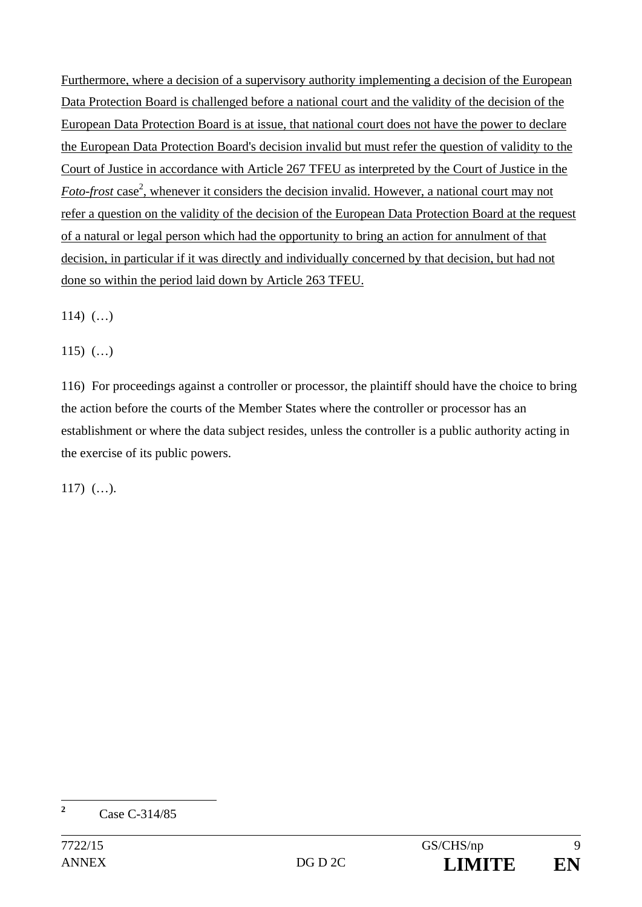Furthermore, where a decision of a supervisory authority implementing a decision of the European Data Protection Board is challenged before a national court and the validity of the decision of the European Data Protection Board is at issue, that national court does not have the power to declare the European Data Protection Board's decision invalid but must refer the question of validity to the Court of Justice in accordance with Article 267 TFEU as interpreted by the Court of Justice in the Foto-frost case<sup>2</sup>, whenever it considers the decision invalid. However, a national court may not refer a question on the validity of the decision of the European Data Protection Board at the request of a natural or legal person which had the opportunity to bring an action for annulment of that decision, in particular if it was directly and individually concerned by that decision, but had not done so within the period laid down by Article 263 TFEU.

114)  $(...)$ 

115)  $(...)$ 

116) For proceedings against a controller or processor, the plaintiff should have the choice to bring the action before the courts of the Member States where the controller or processor has an establishment or where the data subject resides, unless the controller is a public authority acting in the exercise of its public powers.

117) (…).

**2**

Case C-314/85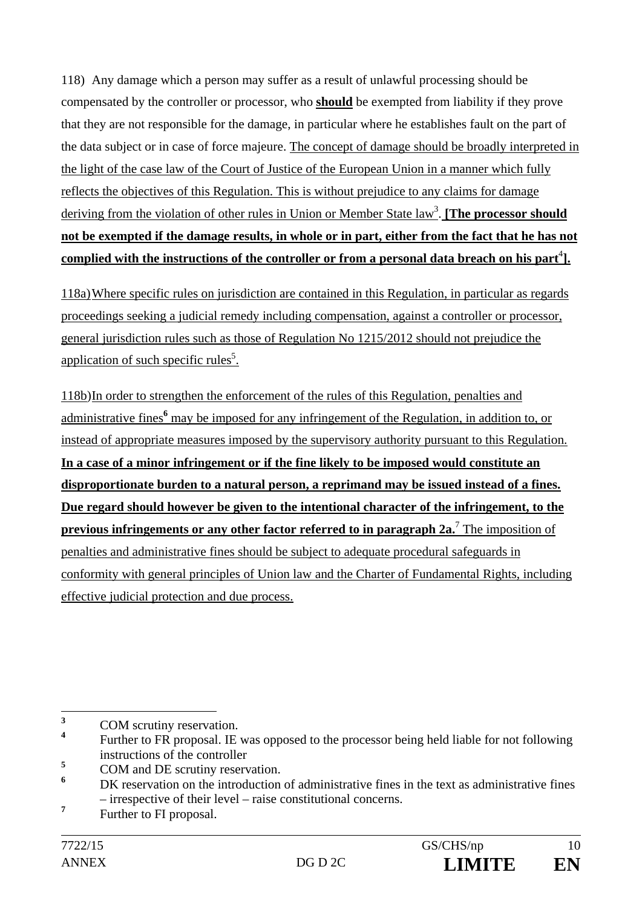118) Any damage which a person may suffer as a result of unlawful processing should be compensated by the controller or processor, who **should** be exempted from liability if they prove that they are not responsible for the damage, in particular where he establishes fault on the part of the data subject or in case of force majeure. The concept of damage should be broadly interpreted in the light of the case law of the Court of Justice of the European Union in a manner which fully reflects the objectives of this Regulation. This is without prejudice to any claims for damage deriving from the violation of other rules in Union or Member State law<sup>3</sup>. **[The processor should not be exempted if the damage results, in whole or in part, either from the fact that he has not**  complied with the instructions of the controller or from a personal data breach on his part<sup>4</sup>].

118a) Where specific rules on jurisdiction are contained in this Regulation, in particular as regards proceedings seeking a judicial remedy including compensation, against a controller or processor, general jurisdiction rules such as those of Regulation No 1215/2012 should not prejudice the application of such specific rules<sup>5</sup>.

118b) In order to strengthen the enforcement of the rules of this Regulation, penalties and administrative fines<sup>6</sup> may be imposed for any infringement of the Regulation, in addition to, or instead of appropriate measures imposed by the supervisory authority pursuant to this Regulation. **In a case of a minor infringement or if the fine likely to be imposed would constitute an disproportionate burden to a natural person, a reprimand may be issued instead of a fines. Due regard should however be given to the intentional character of the infringement, to the previous infringements or any other factor referred to in paragraph 2a.**<sup>7</sup> The imposition of penalties and administrative fines should be subject to adequate procedural safeguards in conformity with general principles of Union law and the Charter of Fundamental Rights, including effective judicial protection and due process.

 **3** COM scrutiny reservation.

**<sup>4</sup>** Further to FR proposal. IE was opposed to the processor being held liable for not following instructions of the controller

**<sup>5</sup>** COM and DE scrutiny reservation.

**<sup>6</sup>** DK reservation on the introduction of administrative fines in the text as administrative fines – irrespective of their level – raise constitutional concerns.

**<sup>7</sup>** Further to FI proposal.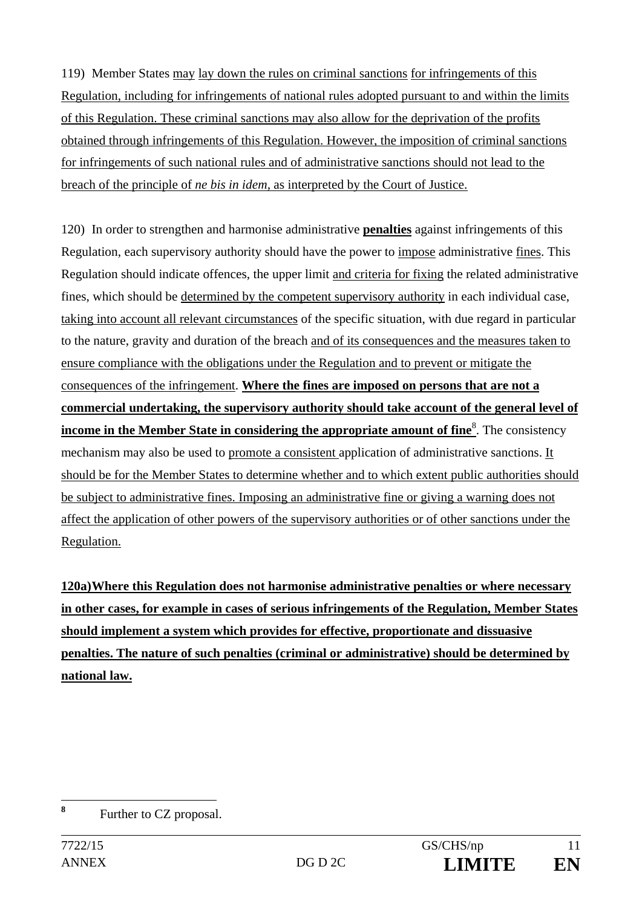119) Member States may lay down the rules on criminal sanctions for infringements of this Regulation, including for infringements of national rules adopted pursuant to and within the limits of this Regulation. These criminal sanctions may also allow for the deprivation of the profits obtained through infringements of this Regulation. However, the imposition of criminal sanctions for infringements of such national rules and of administrative sanctions should not lead to the breach of the principle of *ne bis in idem,* as interpreted by the Court of Justice.

120) In order to strengthen and harmonise administrative **penalties** against infringements of this Regulation, each supervisory authority should have the power to impose administrative fines. This Regulation should indicate offences, the upper limit and criteria for fixing the related administrative fines, which should be determined by the competent supervisory authority in each individual case, taking into account all relevant circumstances of the specific situation, with due regard in particular to the nature, gravity and duration of the breach and of its consequences and the measures taken to ensure compliance with the obligations under the Regulation and to prevent or mitigate the consequences of the infringement. **Where the fines are imposed on persons that are not a commercial undertaking, the supervisory authority should take account of the general level of income in the Member State in considering the appropriate amount of fine.** The consistency mechanism may also be used to promote a consistent application of administrative sanctions. It should be for the Member States to determine whether and to which extent public authorities should be subject to administrative fines. Imposing an administrative fine or giving a warning does not affect the application of other powers of the supervisory authorities or of other sanctions under the Regulation.

**120a) Where this Regulation does not harmonise administrative penalties or where necessary in other cases, for example in cases of serious infringements of the Regulation, Member States should implement a system which provides for effective, proportionate and dissuasive penalties. The nature of such penalties (criminal or administrative) should be determined by national law.** 

 **8** Further to CZ proposal.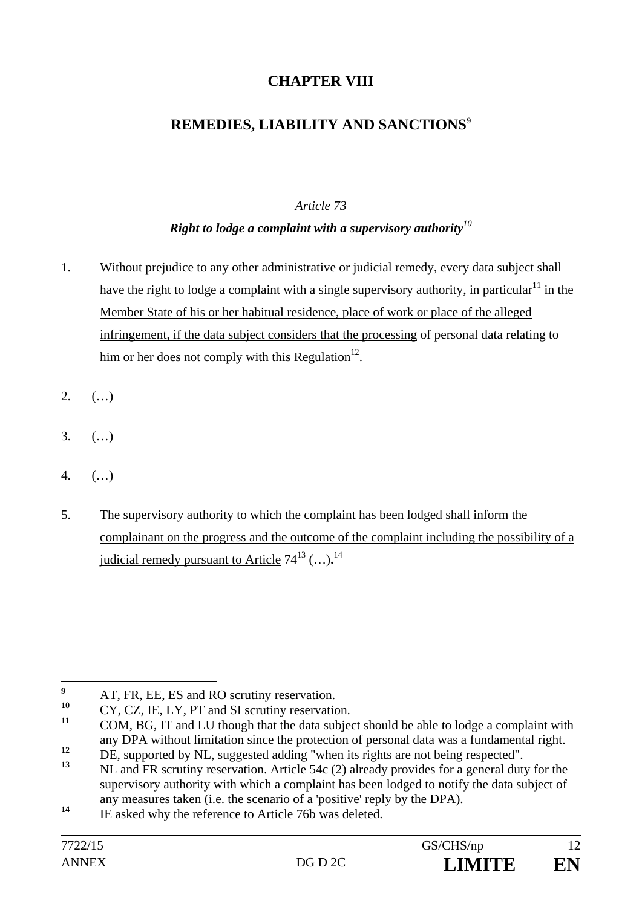## **CHAPTER VIII**

## **REMEDIES, LIABILITY AND SANCTIONS**<sup>9</sup>

### *Article 73*

### *Right to lodge a complaint with a supervisory authority<sup>10</sup>*

- 1. Without prejudice to any other administrative or judicial remedy, every data subject shall have the right to lodge a complaint with a single supervisory authority, in particular<sup>11</sup> in the Member State of his or her habitual residence, place of work or place of the alleged infringement, if the data subject considers that the processing of personal data relating to him or her does not comply with this Regulation<sup>12</sup>.
- $2.$  (...)
- 3. (…)
- 4. (…)
- 5. The supervisory authority to which the complaint has been lodged shall inform the complainant on the progress and the outcome of the complaint including the possibility of a judicial remedy pursuant to Article  $74^{13}$  (...).<sup>14</sup>

 **9**  $\frac{9}{10}$  AT, FR, EE, ES and RO scrutiny reservation.

 $10^{10}$  CY, CZ, IE, LY, PT and SI scrutiny reservation.

**<sup>11</sup>** COM, BG, IT and LU though that the data subject should be able to lodge a complaint with any DPA without limitation since the protection of personal data was a fundamental right.

<sup>12</sup> DE, supported by NL, suggested adding "when its rights are not being respected".

**<sup>13</sup>** NL and FR scrutiny reservation. Article 54c (2) already provides for a general duty for the supervisory authority with which a complaint has been lodged to notify the data subject of any measures taken (i.e. the scenario of a 'positive' reply by the DPA).

<sup>&</sup>lt;sup>14</sup> IE asked why the reference to Article 76b was deleted.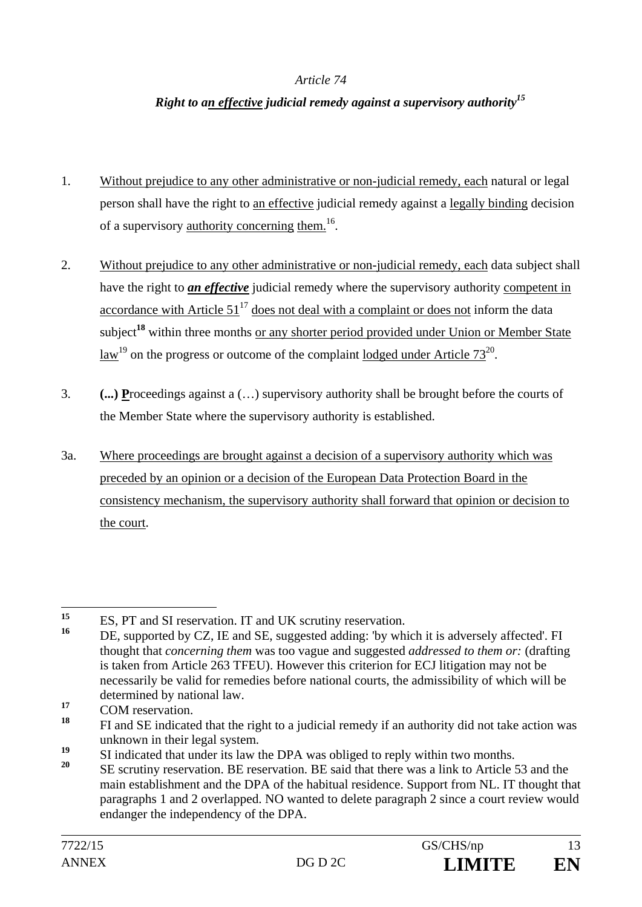#### *Article 74*

### *Right to an effective judicial remedy against a supervisory authority15*

- 1. Without prejudice to any other administrative or non-judicial remedy, each natural or legal person shall have the right to an effective judicial remedy against a legally binding decision of a supervisory authority concerning them.16.
- 2. Without prejudice to any other administrative or non-judicial remedy, each data subject shall have the right to *an effective* judicial remedy where the supervisory authority competent in accordance with Article  $51^{17}$  does not deal with a complaint or does not inform the data subject<sup>18</sup> within three months or any shorter period provided under Union or Member State law<sup>19</sup> on the progress or outcome of the complaint <u>lodged under Article  $73^{20}$ </u>.
- 3. **(...) P**roceedings against a (…) supervisory authority shall be brought before the courts of the Member State where the supervisory authority is established.
- 3a. Where proceedings are brought against a decision of a supervisory authority which was preceded by an opinion or a decision of the European Data Protection Board in the consistency mechanism, the supervisory authority shall forward that opinion or decision to the court.

 $15$ <sup>15</sup> ES, PT and SI reservation. IT and UK scrutiny reservation.

DE, supported by CZ, IE and SE, suggested adding: 'by which it is adversely affected'. FI thought that *concerning them* was too vague and suggested *addressed to them or:* (drafting is taken from Article 263 TFEU). However this criterion for ECJ litigation may not be necessarily be valid for remedies before national courts, the admissibility of which will be determined by national law.

<sup>17</sup> COM reservation.

**<sup>18</sup>** FI and SE indicated that the right to a judicial remedy if an authority did not take action was unknown in their legal system.

<sup>&</sup>lt;sup>19</sup> SI indicated that under its law the DPA was obliged to reply within two months.<br><sup>20</sup> SE continuous proposalism. DE assessment in DE said that them are a light to Article of

**<sup>20</sup>** SE scrutiny reservation. BE reservation. BE said that there was a link to Article 53 and the main establishment and the DPA of the habitual residence. Support from NL. IT thought that paragraphs 1 and 2 overlapped. NO wanted to delete paragraph 2 since a court review would endanger the independency of the DPA.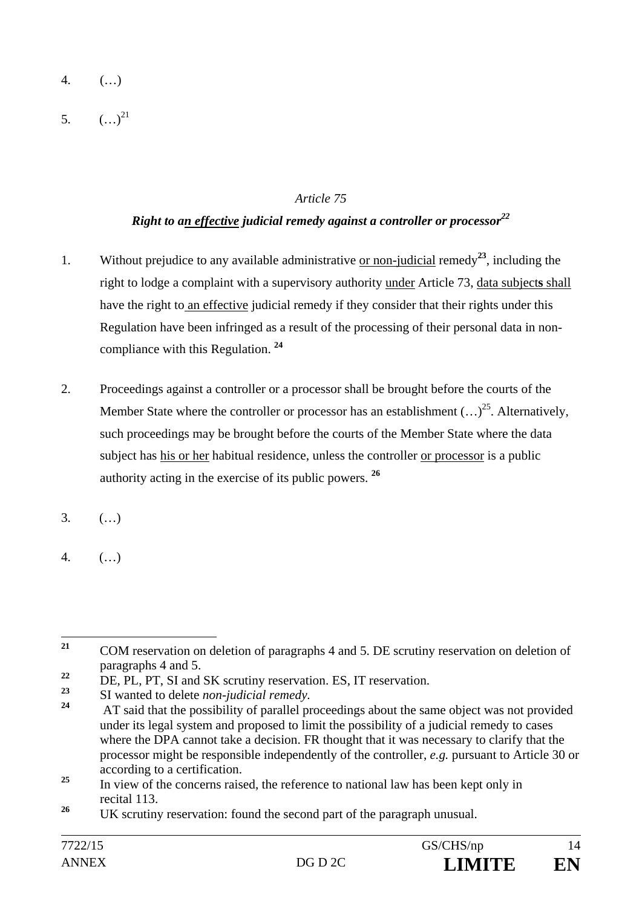- 4. (…)
- 5.  $(\ldots)^{21}$

### *Article 75*

## *Right to an effective judicial remedy against a controller or processor*<sup>22</sup>

- 1. Without prejudice to any available administrative or non-judicial remedy**<sup>23</sup>**, including the right to lodge a complaint with a supervisory authority under Article 73, data subject**s** shall have the right to an effective judicial remedy if they consider that their rights under this Regulation have been infringed as a result of the processing of their personal data in noncompliance with this Regulation. **<sup>24</sup>**
- 2. Proceedings against a controller or a processor shall be brought before the courts of the Member State where the controller or processor has an establishment  $(...)^{25}$ . Alternatively, such proceedings may be brought before the courts of the Member State where the data subject has his or her habitual residence, unless the controller or processor is a public authority acting in the exercise of its public powers. **<sup>26</sup>**
- 3. (…)
- 4. (…)

<sup>21</sup> **<sup>21</sup>** COM reservation on deletion of paragraphs 4 and 5. DE scrutiny reservation on deletion of paragraphs 4 and 5.

<sup>&</sup>lt;sup>22</sup> DE, PL, PT, SI and SK scrutiny reservation. ES, IT reservation.

**<sup>23</sup>** SI wanted to delete *non-judicial remedy.*

**<sup>24</sup>** AT said that the possibility of parallel proceedings about the same object was not provided under its legal system and proposed to limit the possibility of a judicial remedy to cases where the DPA cannot take a decision. FR thought that it was necessary to clarify that the processor might be responsible independently of the controller, *e.g.* pursuant to Article 30 or according to a certification.

<sup>&</sup>lt;sup>25</sup> In view of the concerns raised, the reference to national law has been kept only in recital 113.

<sup>&</sup>lt;sup>26</sup> UK scrutiny reservation: found the second part of the paragraph unusual.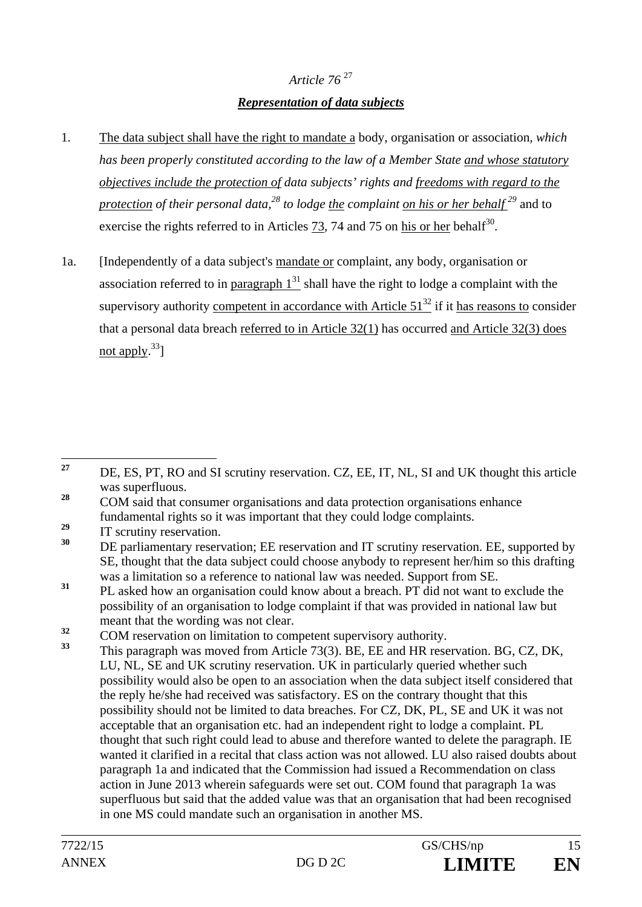# *Article 76* <sup>27</sup> *Representation of data subjects*

- 1. The data subject shall have the right to mandate a body, organisation or association*, which has been properly constituted according to the law of a Member State and whose statutory objectives include the protection of data subjects' rights and freedoms with regard to the protection of their personal data*,<sup>28</sup> to lodge <u>the complaint on his or her behalf</u><sup>29</sup> and to exercise the rights referred to in Articles 73, 74 and 75 on his or her behalf<sup>30</sup>.
- 1a. [Independently of a data subject's mandate or complaint, any body, organisation or association referred to in paragraph  $1<sup>31</sup>$  shall have the right to lodge a complaint with the supervisory authority competent in accordance with Article  $51<sup>32</sup>$  if it has reasons to consider that a personal data breach referred to in Article 32(1) has occurred and Article 32(3) does not apply. $33$ ]

 $\frac{32}{33}$  COM reservation on limitation to competent supervisory authority.

<sup>27</sup> **<sup>27</sup>** DE, ES, PT, RO and SI scrutiny reservation. CZ, EE, IT, NL, SI and UK thought this article was superfluous.

<sup>&</sup>lt;sup>28</sup> COM said that consumer organisations and data protection organisations enhance fundamental rights so it was important that they could lodge complaints.

<sup>&</sup>lt;sup>29</sup> IT scrutiny reservation.

**<sup>30</sup>** DE parliamentary reservation; EE reservation and IT scrutiny reservation. EE, supported by SE, thought that the data subject could choose anybody to represent her/him so this drafting was a limitation so a reference to national law was needed. Support from SE.

<sup>&</sup>lt;sup>31</sup> PL asked how an organisation could know about a breach. PT did not want to exclude the possibility of an organisation to lodge complaint if that was provided in national law but meant that the wording was not clear.

**<sup>33</sup>** This paragraph was moved from Article 73(3). BE, EE and HR reservation. BG, CZ, DK, LU, NL, SE and UK scrutiny reservation. UK in particularly queried whether such possibility would also be open to an association when the data subject itself considered that the reply he/she had received was satisfactory. ES on the contrary thought that this possibility should not be limited to data breaches. For CZ, DK, PL, SE and UK it was not acceptable that an organisation etc. had an independent right to lodge a complaint. PL thought that such right could lead to abuse and therefore wanted to delete the paragraph. IE wanted it clarified in a recital that class action was not allowed. LU also raised doubts about paragraph 1a and indicated that the Commission had issued a Recommendation on class action in June 2013 wherein safeguards were set out. COM found that paragraph 1a was superfluous but said that the added value was that an organisation that had been recognised in one MS could mandate such an organisation in another MS.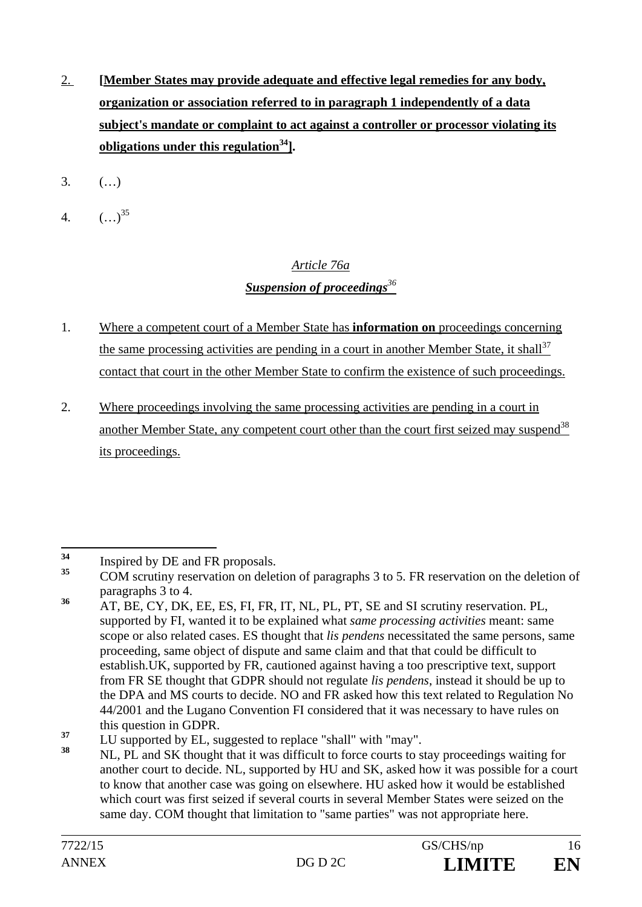- 2. **[Member States may provide adequate and effective legal remedies for any body, organization or association referred to in paragraph 1 independently of a data subject's mandate or complaint to act against a controller or processor violating its obligations under this regulation34].**
- 3. (…)
- 4.  $(\ldots)^{35}$

# *Article 76a Suspension of proceedings<sup>36</sup>*

- 1. Where a competent court of a Member State has **information on** proceedings concerning the same processing activities are pending in a court in another Member State, it shall<sup>37</sup> contact that court in the other Member State to confirm the existence of such proceedings.
- 2. Where proceedings involving the same processing activities are pending in a court in another Member State, any competent court other than the court first seized may suspend<sup>38</sup> its proceedings.

<sup>34</sup> <sup>34</sup> Inspired by DE and FR proposals.

**<sup>35</sup>** COM scrutiny reservation on deletion of paragraphs 3 to 5. FR reservation on the deletion of paragraphs 3 to 4.

**<sup>36</sup>** AT, BE, CY, DK, EE, ES, FI, FR, IT, NL, PL, PT, SE and SI scrutiny reservation. PL, supported by FI, wanted it to be explained what *same processing activities* meant: same scope or also related cases. ES thought that *lis pendens* necessitated the same persons, same proceeding, same object of dispute and same claim and that that could be difficult to establish.UK, supported by FR, cautioned against having a too prescriptive text, support from FR SE thought that GDPR should not regulate *lis pendens*, instead it should be up to the DPA and MS courts to decide. NO and FR asked how this text related to Regulation No 44/2001 and the Lugano Convention FI considered that it was necessary to have rules on this question in GDPR.

<sup>&</sup>lt;sup>37</sup> LU supported by EL, suggested to replace "shall" with "may".

**<sup>38</sup>** NL, PL and SK thought that it was difficult to force courts to stay proceedings waiting for another court to decide. NL, supported by HU and SK, asked how it was possible for a court to know that another case was going on elsewhere. HU asked how it would be established which court was first seized if several courts in several Member States were seized on the same day. COM thought that limitation to "same parties" was not appropriate here.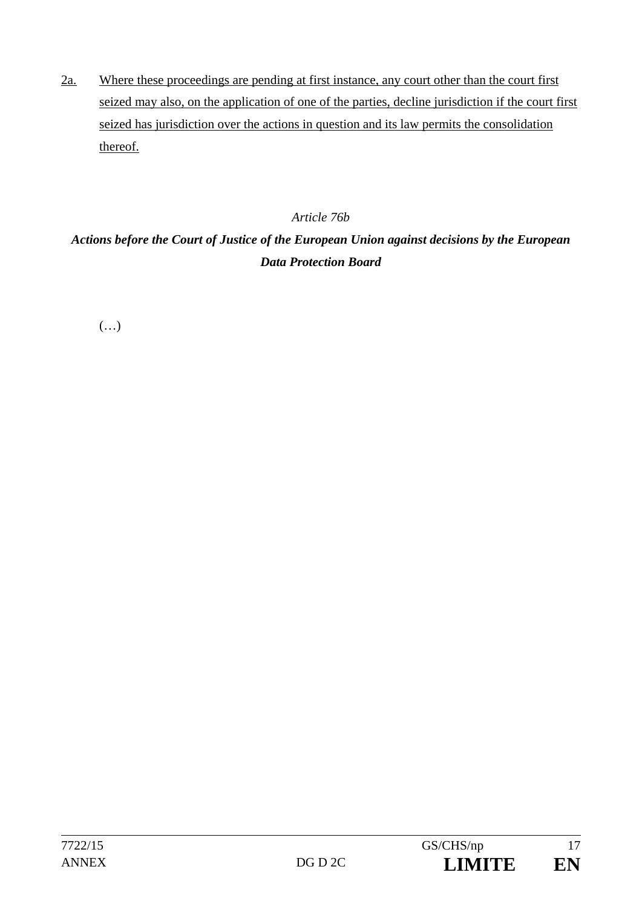2a. Where these proceedings are pending at first instance, any court other than the court first seized may also, on the application of one of the parties, decline jurisdiction if the court first seized has jurisdiction over the actions in question and its law permits the consolidation thereof.

### *Article 76b*

# *Actions before the Court of Justice of the European Union against decisions by the European Data Protection Board*

 $(\ldots)$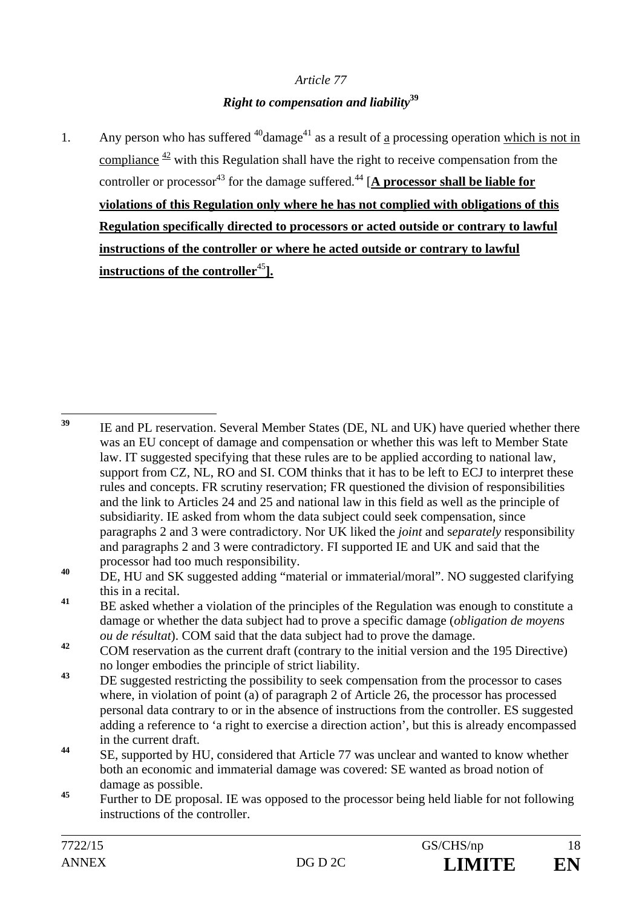### *Article 77*

## *Right to compensation and liability***<sup>39</sup>**

1. Any person who has suffered  $40$ damage<sup>41</sup> as a result of a processing operation which is not in compliance  $\frac{42}{3}$  with this Regulation shall have the right to receive compensation from the controller or processor<sup>43</sup> for the damage suffered.<sup>44</sup>  $[**A**$  processor shall be liable for **violations of this Regulation only where he has not complied with obligations of this Regulation specifically directed to processors or acted outside or contrary to lawful instructions of the controller or where he acted outside or contrary to lawful instructions of the controller**<sup>45</sup>**].** 

 $39$ **<sup>39</sup>** IE and PL reservation. Several Member States (DE, NL and UK) have queried whether there was an EU concept of damage and compensation or whether this was left to Member State law. IT suggested specifying that these rules are to be applied according to national law, support from CZ, NL, RO and SI. COM thinks that it has to be left to ECJ to interpret these rules and concepts. FR scrutiny reservation; FR questioned the division of responsibilities and the link to Articles 24 and 25 and national law in this field as well as the principle of subsidiarity. IE asked from whom the data subject could seek compensation, since paragraphs 2 and 3 were contradictory. Nor UK liked the *joint* and s*eparately* responsibility and paragraphs 2 and 3 were contradictory. FI supported IE and UK and said that the processor had too much responsibility.

**<sup>40</sup>** DE, HU and SK suggested adding "material or immaterial/moral". NO suggested clarifying this in a recital.

**<sup>41</sup>** BE asked whether a violation of the principles of the Regulation was enough to constitute a damage or whether the data subject had to prove a specific damage (*obligation de moyens ou de résultat*). COM said that the data subject had to prove the damage.

<sup>&</sup>lt;sup>42</sup> COM reservation as the current draft (contrary to the initial version and the 195 Directive) no longer embodies the principle of strict liability.

<sup>&</sup>lt;sup>43</sup> DE suggested restricting the possibility to seek compensation from the processor to cases where, in violation of point (a) of paragraph 2 of Article 26, the processor has processed personal data contrary to or in the absence of instructions from the controller. ES suggested adding a reference to 'a right to exercise a direction action', but this is already encompassed in the current draft.

**<sup>44</sup>** SE, supported by HU, considered that Article 77 was unclear and wanted to know whether both an economic and immaterial damage was covered: SE wanted as broad notion of damage as possible.

**<sup>45</sup>** Further to DE proposal. IE was opposed to the processor being held liable for not following instructions of the controller.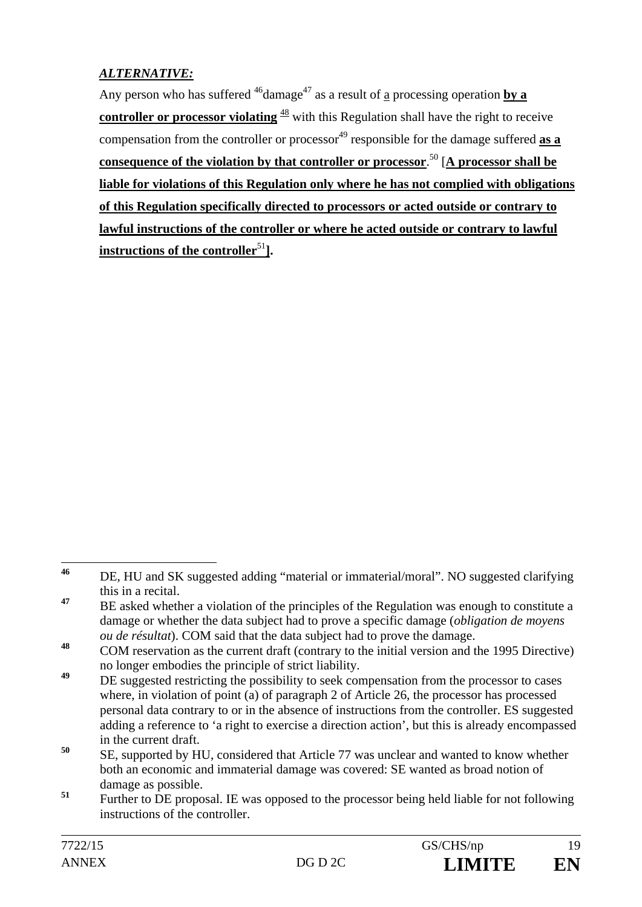## *ALTERNATIVE:*

Any person who has suffered  $^{46}$ damage<sup>47</sup> as a result of a processing operation **by a controller or processor violating**  $\frac{48}{3}$  with this Regulation shall have the right to receive compensation from the controller or processor<sup>49</sup> responsible for the damage suffered **as a consequence of the violation by that controller or processor**. 50 [**A processor shall be liable for violations of this Regulation only where he has not complied with obligations of this Regulation specifically directed to processors or acted outside or contrary to lawful instructions of the controller or where he acted outside or contrary to lawful instructions of the controller**<sup>51</sup>**].**

**<sup>50</sup>** SE, supported by HU, considered that Article 77 was unclear and wanted to know whether both an economic and immaterial damage was covered: SE wanted as broad notion of damage as possible.

 $46$ DE, HU and SK suggested adding "material or immaterial/moral". NO suggested clarifying this in a recital.

<sup>&</sup>lt;sup>47</sup> BE asked whether a violation of the principles of the Regulation was enough to constitute a damage or whether the data subject had to prove a specific damage (*obligation de moyens ou de résultat*). COM said that the data subject had to prove the damage.

**<sup>48</sup>** COM reservation as the current draft (contrary to the initial version and the 1995 Directive) no longer embodies the principle of strict liability.

<sup>&</sup>lt;sup>49</sup> DE suggested restricting the possibility to seek compensation from the processor to cases where, in violation of point (a) of paragraph 2 of Article 26, the processor has processed personal data contrary to or in the absence of instructions from the controller. ES suggested adding a reference to 'a right to exercise a direction action', but this is already encompassed in the current draft.

<sup>&</sup>lt;sup>51</sup> Further to DE proposal. IE was opposed to the processor being held liable for not following instructions of the controller.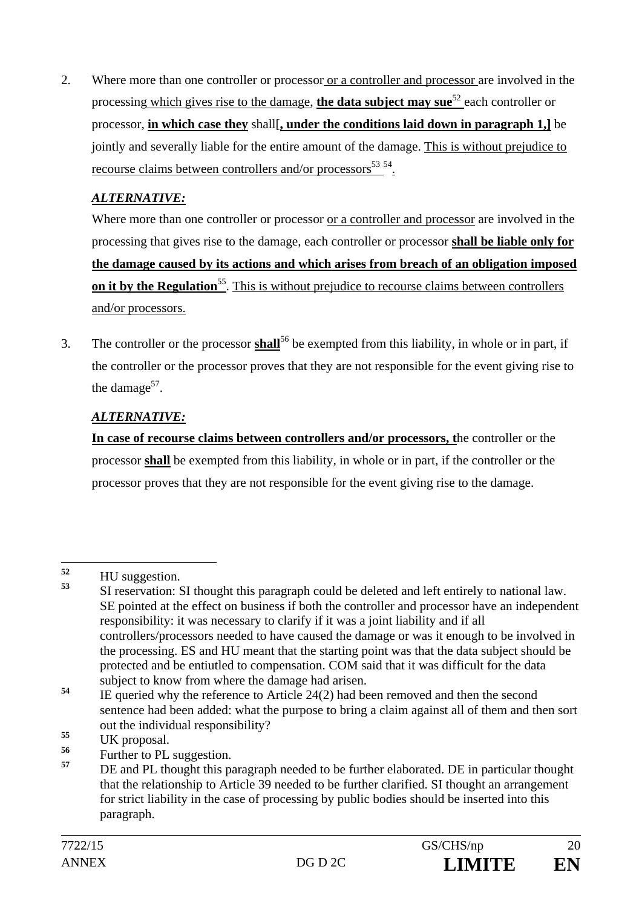2. Where more than one controller or processor or a controller and processor are involved in the processing which gives rise to the damage, **the data subject may sue**<sup>52</sup> each controller or processor, **in which case they** shall[**, under the conditions laid down in paragraph 1,]** be jointly and severally liable for the entire amount of the damage. This is without prejudice to recourse claims between controllers and/or processors<sup>53</sup><sup>54</sup>.

## *ALTERNATIVE:*

 Where more than one controller or processor or a controller and processor are involved in the processing that gives rise to the damage, each controller or processor **shall be liable only for the damage caused by its actions and which arises from breach of an obligation imposed on it by the Regulation**<sup>55</sup>. This is without prejudice to recourse claims between controllers and/or processors.

3. The controller or the processor **shall**56 be exempted from this liability, in whole or in part, if the controller or the processor proves that they are not responsible for the event giving rise to the damage<sup>57</sup>.

## *ALTERNATIVE:*

**In case of recourse claims between controllers and/or processors, t**he controller or the processor **shall** be exempted from this liability, in whole or in part, if the controller or the processor proves that they are not responsible for the event giving rise to the damage.

 $52$  $\frac{52}{53}$  HU suggestion.

**<sup>53</sup>** SI reservation: SI thought this paragraph could be deleted and left entirely to national law. SE pointed at the effect on business if both the controller and processor have an independent responsibility: it was necessary to clarify if it was a joint liability and if all controllers/processors needed to have caused the damage or was it enough to be involved in the processing. ES and HU meant that the starting point was that the data subject should be protected and be entiutled to compensation. COM said that it was difficult for the data subject to know from where the damage had arisen.

<sup>&</sup>lt;sup>54</sup> IE queried why the reference to Article 24(2) had been removed and then the second sentence had been added: what the purpose to bring a claim against all of them and then sort out the individual responsibility?

<sup>&</sup>lt;sup>55</sup> UK proposal.<br><sup>56</sup> Expedience PL

<sup>&</sup>lt;sup>56</sup> Further to PL suggestion.

**<sup>57</sup>** DE and PL thought this paragraph needed to be further elaborated. DE in particular thought that the relationship to Article 39 needed to be further clarified. SI thought an arrangement for strict liability in the case of processing by public bodies should be inserted into this paragraph.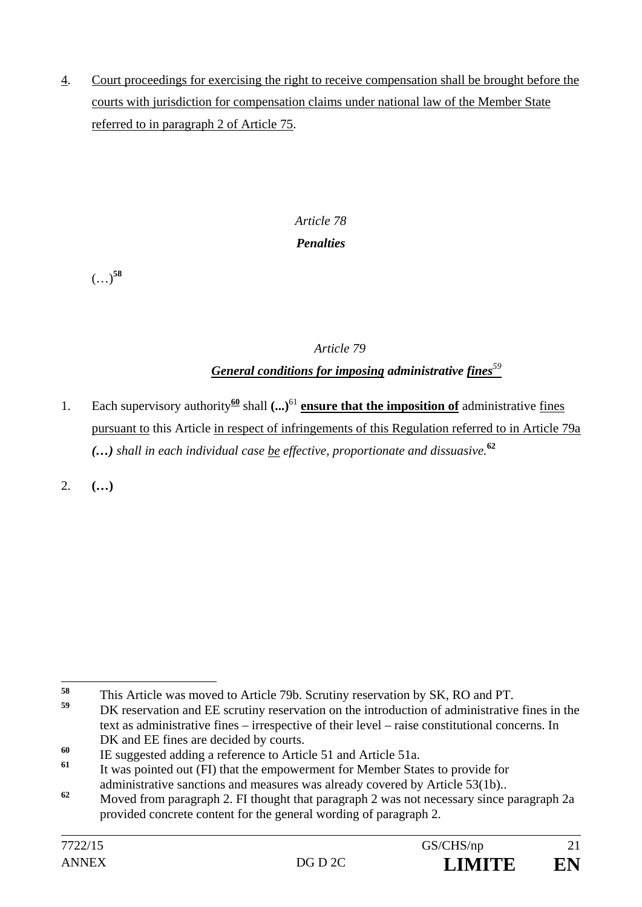4. Court proceedings for exercising the right to receive compensation shall be brought before the courts with jurisdiction for compensation claims under national law of the Member State referred to in paragraph 2 of Article 75.

# *Article 78 Penalties*

(…)**<sup>58</sup>**

## *Article 79*

# *General conditions for imposing administrative fines<sup>59</sup>*

1. Each supervisory authority<sup>60</sup> shall  $(\ldots)^{61}$  **ensure that the imposition of** administrative fines pursuant to this Article in respect of infringements of this Regulation referred to in Article 79a *(…) shall in each individual case be effective, proportionate and dissuasive.***<sup>62</sup>**

2. **(…)**

<sup>58</sup> <sup>58</sup> This Article was moved to Article 79b. Scrutiny reservation by SK, RO and PT.

**<sup>59</sup>** DK reservation and EE scrutiny reservation on the introduction of administrative fines in the text as administrative fines – irrespective of their level – raise constitutional concerns. In DK and EE fines are decided by courts.

**<sup>60</sup>** IE suggested adding a reference to Article 51 and Article 51a.

**<sup>61</sup>** It was pointed out (FI) that the empowerment for Member States to provide for administrative sanctions and measures was already covered by Article 53(1b)..

**<sup>62</sup>** Moved from paragraph 2. FI thought that paragraph 2 was not necessary since paragraph 2a provided concrete content for the general wording of paragraph 2.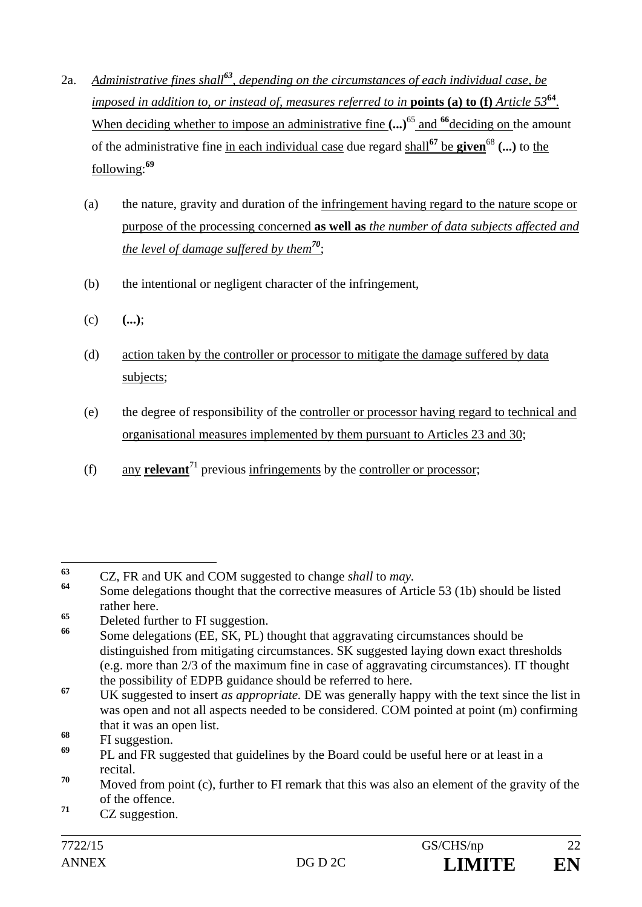- 2a. *Administrative fines shall<sup>63</sup>, depending on the circumstances of each individual case, be imposed in addition to, or instead of, measures referred to in points (a) to (f) <i>Article*  $53^{64}$ . When deciding whether to impose an administrative fine  $(\cdot \cdot \cdot)^{65}$  and <sup>66</sup>deciding on the amount of the administrative fine in each individual case due regard shall**<sup>67</sup>** be **given**<sup>68</sup> **(...)** to the following:**<sup>69</sup>**
	- (a) the nature, gravity and duration of the infringement having regard to the nature scope or purpose of the processing concerned **as well as** *the number of data subjects affected and the level of damage suffered by them<sup>70</sup>*;
	- (b) the intentional or negligent character of the infringement,
	- (c) **(...)**;
	- (d) action taken by the controller or processor to mitigate the damage suffered by data subjects;
	- (e) the degree of responsibility of the controller or processor having regard to technical and organisational measures implemented by them pursuant to Articles 23 and 30;
	- (f) any **relevant**<sup> $71$ </sup> previous infringements by the controller or processor;

<sup>65</sup> Deleted further to FI suggestion.

 $63$ **<sup>63</sup>** CZ, FR and UK and COM suggested to change *shall* to *may.* 

Some delegations thought that the corrective measures of Article 53 (1b) should be listed rather here.

**<sup>66</sup>** Some delegations (EE, SK, PL) thought that aggravating circumstances should be distinguished from mitigating circumstances. SK suggested laying down exact thresholds (e.g. more than 2/3 of the maximum fine in case of aggravating circumstances). IT thought the possibility of EDPB guidance should be referred to here.

**<sup>67</sup>** UK suggested to insert *as appropriate.* DE was generally happy with the text since the list in was open and not all aspects needed to be considered. COM pointed at point (m) confirming that it was an open list.

<sup>&</sup>lt;sup>68</sup> FI suggestion.

**<sup>69</sup>** PL and FR suggested that guidelines by the Board could be useful here or at least in a recital.

**<sup>70</sup>** Moved from point (c), further to FI remark that this was also an element of the gravity of the of the offence.

**<sup>71</sup>** CZ suggestion.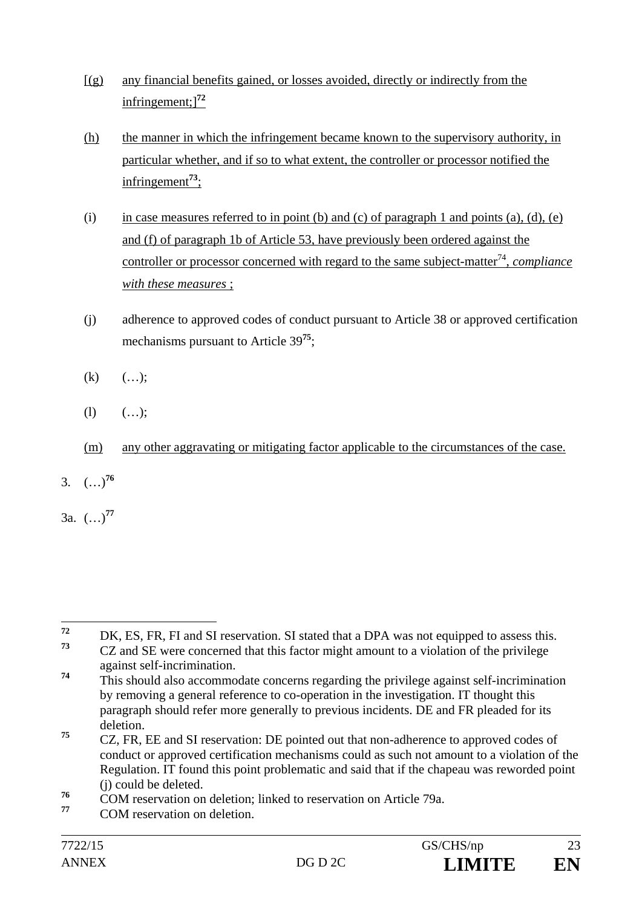- $[(g)$  any financial benefits gained, or losses avoided, directly or indirectly from the infringement;]**<sup>72</sup>**
- (h) the manner in which the infringement became known to the supervisory authority, in particular whether, and if so to what extent, the controller or processor notified the infringement**<sup>73</sup>**;
- (i) in case measures referred to in point (b) and (c) of paragraph 1 and points (a), (d), (e) and (f) of paragraph 1b of Article 53, have previously been ordered against the controller or processor concerned with regard to the same subject-matter<sup>74</sup>, *compliance with these measures* ;
- (j) adherence to approved codes of conduct pursuant to Article 38 or approved certification mechanisms pursuant to Article 39**<sup>75</sup>**;
- $(k)$   $(…);$
- (1)  $(...)$ ;
- (m) any other aggravating or mitigating factor applicable to the circumstances of the case.
- 3. (…)**<sup>76</sup>**
- 3a. (…)**<sup>77</sup>**

 $72$  $72$  DK, ES, FR, FI and SI reservation. SI stated that a DPA was not equipped to assess this. **<sup>73</sup>** CZ and SE were concerned that this factor might amount to a violation of the privilege against self-incrimination.

<sup>&</sup>lt;sup>74</sup> This should also accommodate concerns regarding the privilege against self-incrimination by removing a general reference to co-operation in the investigation. IT thought this paragraph should refer more generally to previous incidents. DE and FR pleaded for its deletion.

**<sup>75</sup>** CZ, FR, EE and SI reservation: DE pointed out that non-adherence to approved codes of conduct or approved certification mechanisms could as such not amount to a violation of the Regulation. IT found this point problematic and said that if the chapeau was reworded point (j) could be deleted.

<sup>&</sup>lt;sup>76</sup> COM reservation on deletion; linked to reservation on Article 79a.

**<sup>77</sup>** COM reservation on deletion.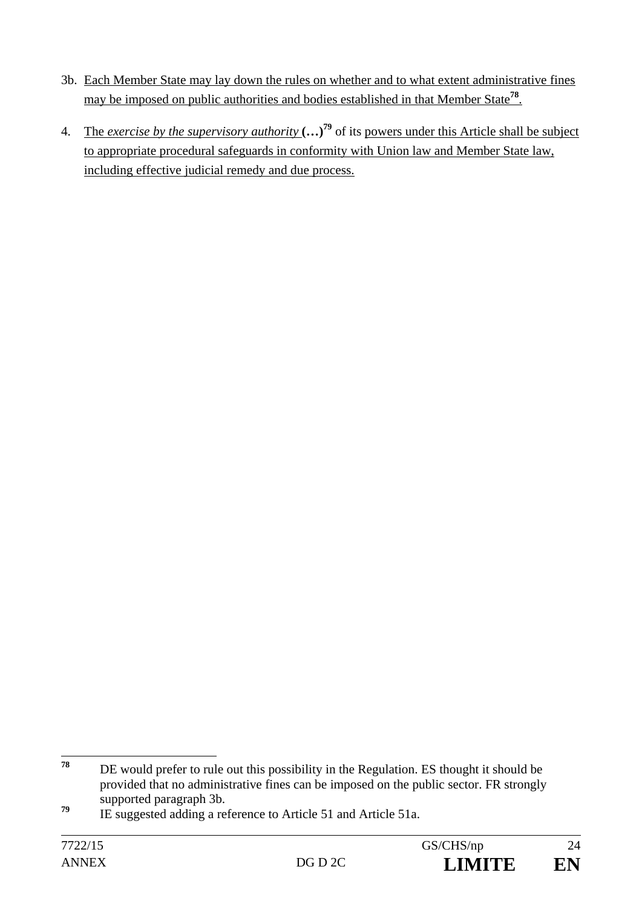- 3b. Each Member State may lay down the rules on whether and to what extent administrative fines may be imposed on public authorities and bodies established in that Member State**<sup>78</sup>**.
- 4. The *exercise by the supervisory authority* **(…)79** of its powers under this Article shall be subject to appropriate procedural safeguards in conformity with Union law and Member State law, including effective judicial remedy and due process.

<sup>78</sup> DE would prefer to rule out this possibility in the Regulation. ES thought it should be provided that no administrative fines can be imposed on the public sector. FR strongly supported paragraph 3b.

<sup>&</sup>lt;sup>79</sup> IE suggested adding a reference to Article 51 and Article 51a.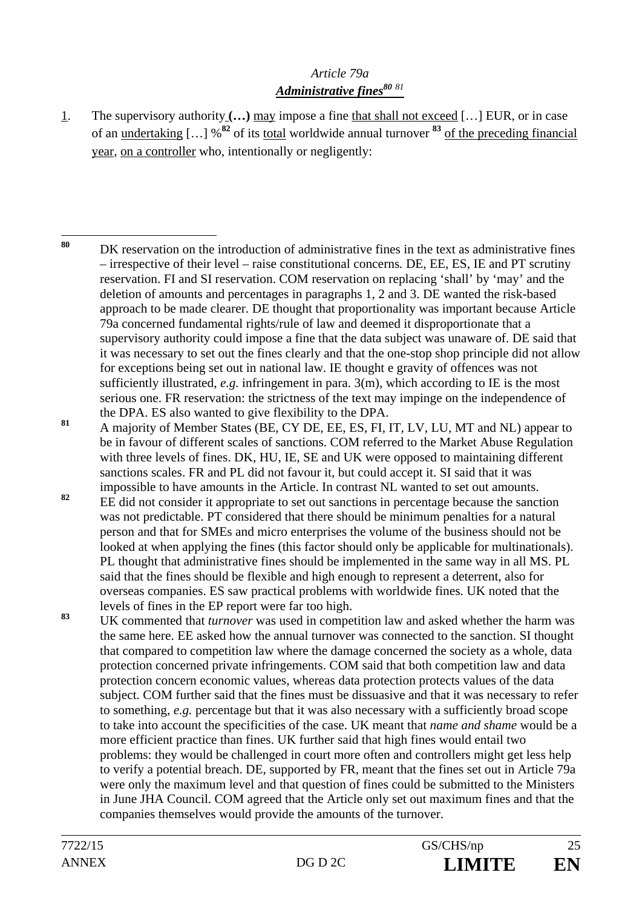### *Article 79a*  Administrative fines<sup>80</sup><sup>81</sup>

1. The supervisory authority **(…)** may impose a fine that shall not exceed […] EUR, or in case of an undertaking […] %**<sup>82</sup>** of its total worldwide annual turnover **<sup>83</sup>** of the preceding financial year, on a controller who, intentionally or negligently:

81 A majority of Member States (BE, CY DE, EE, ES, FI, IT, LV, LU, MT and NL) appear to be in favour of different scales of sanctions. COM referred to the Market Abuse Regulation with three levels of fines. DK, HU, IE, SE and UK were opposed to maintaining different sanctions scales. FR and PL did not favour it, but could accept it. SI said that it was impossible to have amounts in the Article. In contrast NL wanted to set out amounts.

- <sup>82</sup> EE did not consider it appropriate to set out sanctions in percentage because the sanction was not predictable. PT considered that there should be minimum penalties for a natural person and that for SMEs and micro enterprises the volume of the business should not be looked at when applying the fines (this factor should only be applicable for multinationals). PL thought that administrative fines should be implemented in the same way in all MS. PL said that the fines should be flexible and high enough to represent a deterrent, also for overseas companies. ES saw practical problems with worldwide fines. UK noted that the levels of fines in the EP report were far too high.
- **<sup>83</sup>** UK commented that *turnover* was used in competition law and asked whether the harm was the same here. EE asked how the annual turnover was connected to the sanction. SI thought that compared to competition law where the damage concerned the society as a whole, data protection concerned private infringements. COM said that both competition law and data protection concern economic values, whereas data protection protects values of the data subject. COM further said that the fines must be dissuasive and that it was necessary to refer to something, *e.g.* percentage but that it was also necessary with a sufficiently broad scope to take into account the specificities of the case. UK meant that *name and shame* would be a more efficient practice than fines. UK further said that high fines would entail two problems: they would be challenged in court more often and controllers might get less help to verify a potential breach. DE, supported by FR, meant that the fines set out in Article 79a were only the maximum level and that question of fines could be submitted to the Ministers in June JHA Council. COM agreed that the Article only set out maximum fines and that the companies themselves would provide the amounts of the turnover.

<sup>80</sup> **<sup>80</sup>** DK reservation on the introduction of administrative fines in the text as administrative fines – irrespective of their level – raise constitutional concerns*.* DE, EE, ES, IE and PT scrutiny reservation. FI and SI reservation. COM reservation on replacing 'shall' by 'may' and the deletion of amounts and percentages in paragraphs 1, 2 and 3. DE wanted the risk-based approach to be made clearer. DE thought that proportionality was important because Article 79a concerned fundamental rights/rule of law and deemed it disproportionate that a supervisory authority could impose a fine that the data subject was unaware of. DE said that it was necessary to set out the fines clearly and that the one-stop shop principle did not allow for exceptions being set out in national law. IE thought e gravity of offences was not sufficiently illustrated, *e.g.* infringement in para. 3(m), which according to IE is the most serious one. FR reservation: the strictness of the text may impinge on the independence of the DPA. ES also wanted to give flexibility to the DPA.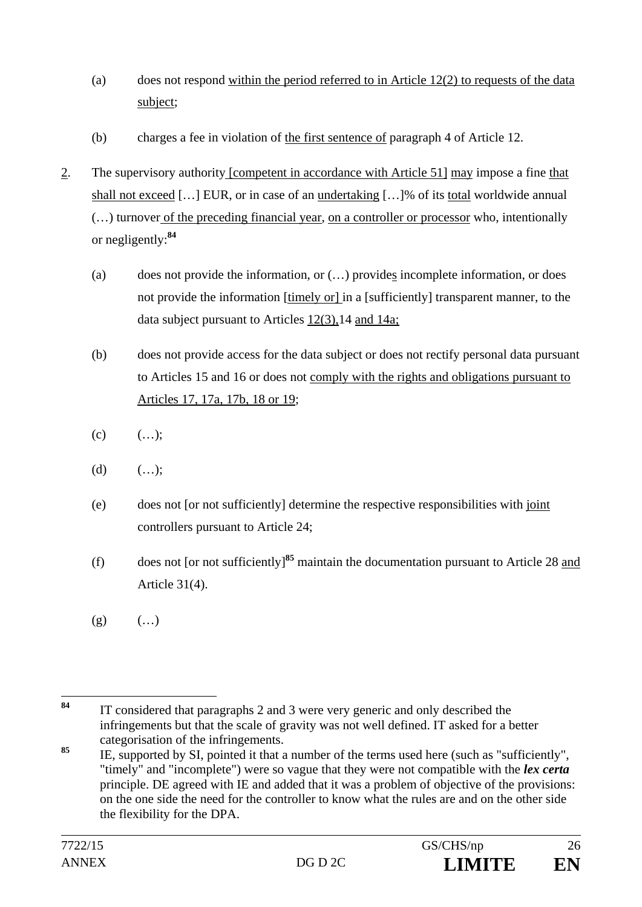- (a) does not respond within the period referred to in Article  $12(2)$  to requests of the data subject;
- (b) charges a fee in violation of the first sentence of paragraph 4 of Article 12.
- 2. The supervisory authority [competent in accordance with Article 51] may impose a fine that shall not exceed […] EUR, or in case of an undertaking […]% of its total worldwide annual (…) turnover of the preceding financial year, on a controller or processor who, intentionally or negligently:**<sup>84</sup>**
	- (a) does not provide the information, or (…) provides incomplete information, or does not provide the information [timely or] in a [sufficiently] transparent manner, to the data subject pursuant to Articles 12(3),14 and 14a;
	- (b) does not provide access for the data subject or does not rectify personal data pursuant to Articles 15 and 16 or does not comply with the rights and obligations pursuant to Articles 17, 17a, 17b, 18 or 19;
	- $(c)$   $(...);$
	- (d)  $(...);$
	- (e) does not [or not sufficiently] determine the respective responsibilities with joint controllers pursuant to Article 24;
	- (f) does not [or not sufficiently]**<sup>85</sup>** maintain the documentation pursuant to Article 28 and Article 31(4).
	- $(g)$   $(...)$

<sup>84</sup> **<sup>84</sup>** IT considered that paragraphs 2 and 3 were very generic and only described the infringements but that the scale of gravity was not well defined. IT asked for a better categorisation of the infringements.

<sup>85</sup> IE, supported by SI, pointed it that a number of the terms used here (such as "sufficiently", "timely" and "incomplete") were so vague that they were not compatible with the *lex certa* principle. DE agreed with IE and added that it was a problem of objective of the provisions: on the one side the need for the controller to know what the rules are and on the other side the flexibility for the DPA.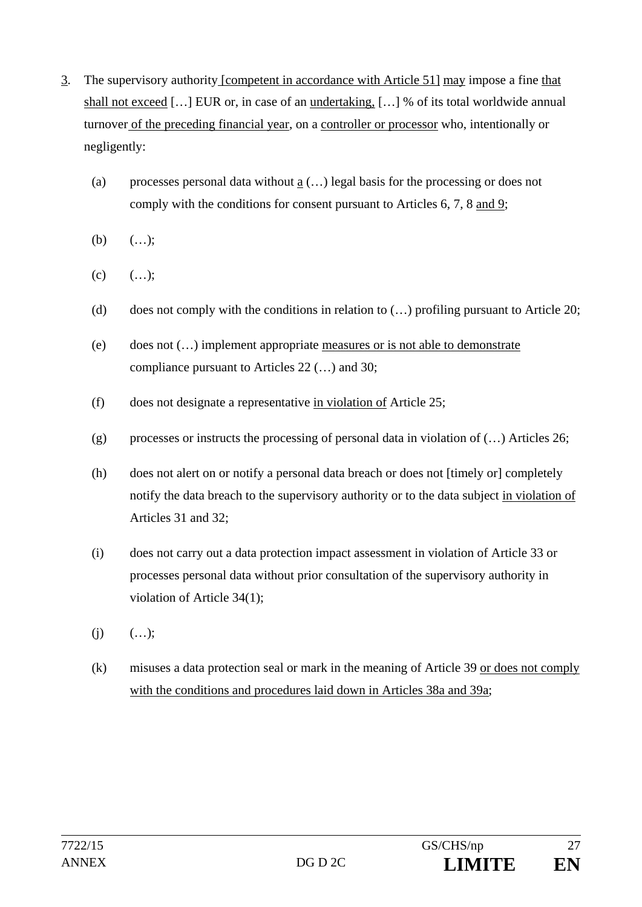- 3. The supervisory authority [competent in accordance with Article 51] may impose a fine that shall not exceed […] EUR or, in case of an undertaking, […] % of its total worldwide annual turnover of the preceding financial year, on a controller or processor who, intentionally or negligently:
	- (a) processes personal data without  $\underline{a}$  (...) legal basis for the processing or does not comply with the conditions for consent pursuant to Articles 6, 7, 8 and 9;
	- (b)  $(...);$
	- $(c)$   $(...);$
	- (d) does not comply with the conditions in relation to  $(...)$  profiling pursuant to Article 20;
	- (e) does not (…) implement appropriate measures or is not able to demonstrate compliance pursuant to Articles 22 (…) and 30;
	- (f) does not designate a representative in violation of Article 25;
	- (g) processes or instructs the processing of personal data in violation of  $(...)$  Articles 26;
	- (h) does not alert on or notify a personal data breach or does not [timely or] completely notify the data breach to the supervisory authority or to the data subject in violation of Articles 31 and 32;
	- (i) does not carry out a data protection impact assessment in violation of Article 33 or processes personal data without prior consultation of the supervisory authority in violation of Article 34(1);
	- $(i)$   $(...);$
	- (k) misuses a data protection seal or mark in the meaning of Article 39 or does not comply with the conditions and procedures laid down in Articles 38a and 39a;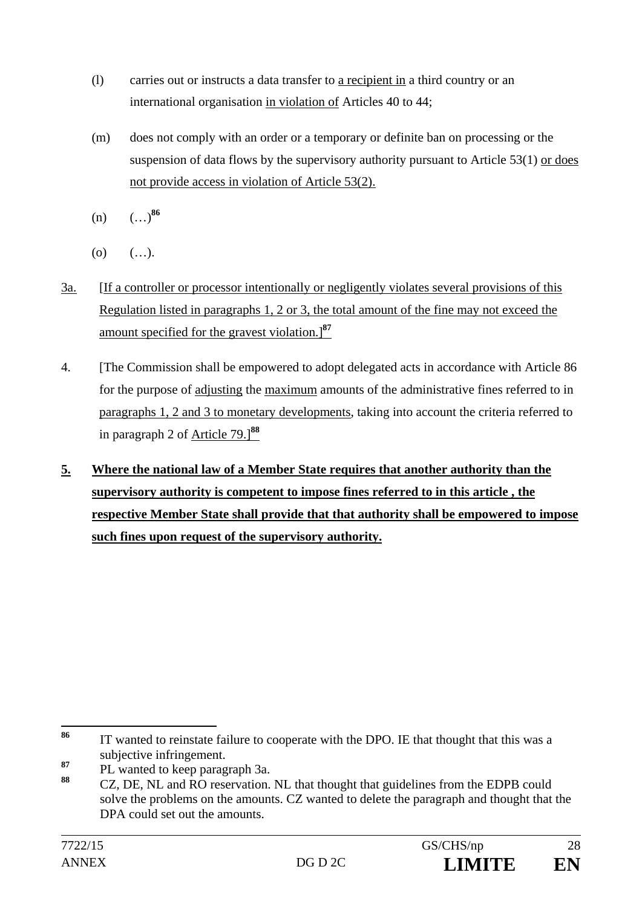- (l) carries out or instructs a data transfer to a recipient in a third country or an international organisation in violation of Articles 40 to 44;
- (m) does not comply with an order or a temporary or definite ban on processing or the suspension of data flows by the supervisory authority pursuant to Article 53(1) or does not provide access in violation of Article 53(2).
- $(n)$   $(\ldots)^{86}$
- $(0)$   $(...).$
- 3a. [If a controller or processor intentionally or negligently violates several provisions of this Regulation listed in paragraphs 1, 2 or 3, the total amount of the fine may not exceed the amount specified for the gravest violation.]**<sup>87</sup>**
- 4. [The Commission shall be empowered to adopt delegated acts in accordance with Article 86 for the purpose of adjusting the maximum amounts of the administrative fines referred to in paragraphs 1, 2 and 3 to monetary developments, taking into account the criteria referred to in paragraph 2 of Article 79.]**<sup>88</sup>**
- **5. Where the national law of a Member State requires that another authority than the supervisory authority is competent to impose fines referred to in this article , the respective Member State shall provide that that authority shall be empowered to impose such fines upon request of the supervisory authority.**

<sup>86</sup> **<sup>86</sup>** IT wanted to reinstate failure to cooperate with the DPO. IE that thought that this was a subjective infringement.

**<sup>87</sup>** PL wanted to keep paragraph 3a.

**<sup>88</sup>** CZ, DE, NL and RO reservation. NL that thought that guidelines from the EDPB could solve the problems on the amounts. CZ wanted to delete the paragraph and thought that the DPA could set out the amounts.